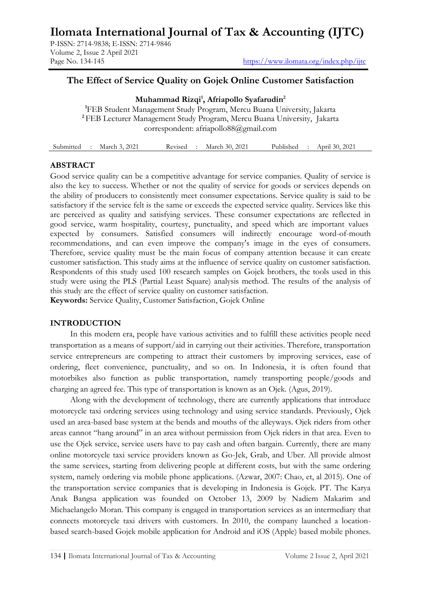**Ilomata International Journal of Tax & Accounting (IJTC)**

P-ISSN: 2714-9838; E-ISSN: 2714-9846 Volume 2, Issue 2 April 2021

# **The Effect of Service Quality on Gojek Online Customer Satisfaction**

**Muhammad Rizqi<sup>1</sup> , Afriapollo Syafarudin<sup>2</sup> <sup>1</sup>**FEB Student Management Study Program, Mercu Buana University, Jakarta **<sup>2</sup>**FEB Lecturer Management Study Program, Mercu Buana University, Jakarta correspondent: [afriapollo88@gmail.com](mailto:afriapollo88@gmail.com)

| April 30, 2021<br>March 30, 2021<br>Submitted<br>Revised<br>March 3, 2021<br>Published |
|----------------------------------------------------------------------------------------|
|----------------------------------------------------------------------------------------|

## **ABSTRACT**

Good service quality can be a competitive advantage for service companies. Quality of service is also the key to success. Whether or not the quality of service for goods or services depends on the ability of producers to consistently meet consumer expectations. Service quality is said to be satisfactory if the service felt is the same or exceeds the expected service quality. Services like this are perceived as quality and satisfying services. These consumer expectations are reflected in good service, warm hospitality, courtesy, punctuality, and speed which are important values expected by consumers. Satisfied consumers will indirectly encourage word-of-mouth recommendations, and can even improve the company's image in the eyes of consumers. Therefore, service quality must be the main focus of company attention because it can create customer satisfaction. This study aims at the influence of service quality on customer satisfaction. Respondents of this study used 100 research samples on Gojek brothers, the tools used in this study were using the PLS (Partial Least Square) analysis method. The results of the analysis of this study are the effect of service quality on customer satisfaction.

**Keywords:** Service Quality, Customer Satisfaction, Gojek Online

## **INTRODUCTION**

In this modern era, people have various activities and to fulfill these activities people need transportation as a means of support/aid in carrying out their activities. Therefore, transportation service entrepreneurs are competing to attract their customers by improving services, ease of ordering, fleet convenience, punctuality, and so on. In Indonesia, it is often found that motorbikes also function as public transportation, namely transporting people/goods and charging an agreed fee. This type of transportation is known as an Ojek. (Agus, 2019).

Along with the development of technology, there are currently applications that introduce motorcycle taxi ordering services using technology and using service standards. Previously, Ojek used an area-based base system at the bends and mouths of the alleyways. Ojek riders from other areas cannot "hang around" in an area without permission from Ojek riders in that area. Even to use the Ojek service, service users have to pay cash and often bargain. Currently, there are many online motorcycle taxi service providers known as Go-Jek, Grab, and Uber. All provide almost the same services, starting from delivering people at different costs, but with the same ordering system, namely ordering via mobile phone applications. (Azwar, 2007: Chao, et, al 2015). One of the transportation service companies that is developing in Indonesia is Gojek. PT. The Karya Anak Bangsa application was founded on October 13, 2009 by Nadiem Makarim and Michaelangelo Moran. This company is engaged in transportation services as an intermediary that connects motorcycle taxi drivers with customers. In 2010, the company launched a locationbased search-based Gojek mobile application for Android and iOS (Apple) based mobile phones.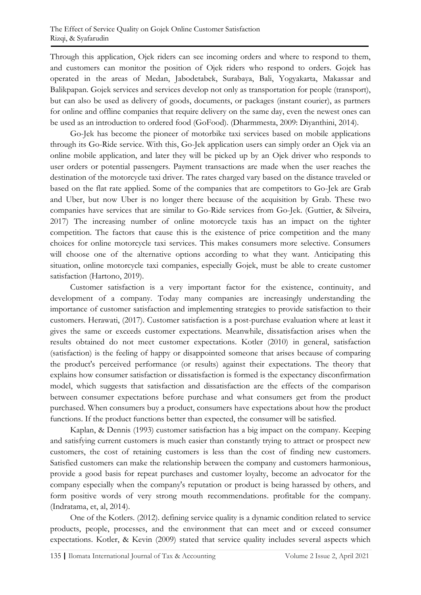Through this application, Ojek riders can see incoming orders and where to respond to them, and customers can monitor the position of Ojek riders who respond to orders. Gojek has operated in the areas of Medan, Jabodetabek, Surabaya, Bali, Yogyakarta, Makassar and Balikpapan. Gojek services and services develop not only as transportation for people (transport), but can also be used as delivery of goods, documents, or packages (instant courier), as partners for online and offline companies that require delivery on the same day, even the newest ones can be used as an introduction to ordered food (GoFood). (Dharmmesta, 2009: Diyanthini, 2014).

Go-Jek has become the pioneer of motorbike taxi services based on mobile applications through its Go-Ride service. With this, Go-Jek application users can simply order an Ojek via an online mobile application, and later they will be picked up by an Ojek driver who responds to user orders or potential passengers. Payment transactions are made when the user reaches the destination of the motorcycle taxi driver. The rates charged vary based on the distance traveled or based on the flat rate applied. Some of the companies that are competitors to Go-Jek are Grab and Uber, but now Uber is no longer there because of the acquisition by Grab. These two companies have services that are similar to Go-Ride services from Go-Jek. (Guttier, & Silveira, 2017) The increasing number of online motorcycle taxis has an impact on the tighter competition. The factors that cause this is the existence of price competition and the many choices for online motorcycle taxi services. This makes consumers more selective. Consumers will choose one of the alternative options according to what they want. Anticipating this situation, online motorcycle taxi companies, especially Gojek, must be able to create customer satisfaction (Hartono, 2019).

Customer satisfaction is a very important factor for the existence, continuity, and development of a company. Today many companies are increasingly understanding the importance of customer satisfaction and implementing strategies to provide satisfaction to their customers. Herawati, (2017). Customer satisfaction is a post-purchase evaluation where at least it gives the same or exceeds customer expectations. Meanwhile, dissatisfaction arises when the results obtained do not meet customer expectations. Kotler (2010) in general, satisfaction (satisfaction) is the feeling of happy or disappointed someone that arises because of comparing the product's perceived performance (or results) against their expectations. The theory that explains how consumer satisfaction or dissatisfaction is formed is the expectancy disconfirmation model, which suggests that satisfaction and dissatisfaction are the effects of the comparison between consumer expectations before purchase and what consumers get from the product purchased. When consumers buy a product, consumers have expectations about how the product functions. If the product functions better than expected, the consumer will be satisfied.

Kaplan, & Dennis (1993) customer satisfaction has a big impact on the company. Keeping and satisfying current customers is much easier than constantly trying to attract or prospect new customers, the cost of retaining customers is less than the cost of finding new customers. Satisfied customers can make the relationship between the company and customers harmonious, provide a good basis for repeat purchases and customer loyalty, become an advocator for the company especially when the company's reputation or product is being harassed by others, and form positive words of very strong mouth recommendations. profitable for the company. (Indratama, et, al, 2014).

One of the Kotlers. (2012). defining service quality is a dynamic condition related to service products, people, processes, and the environment that can meet and or exceed consumer expectations. Kotler, & Kevin (2009) stated that service quality includes several aspects which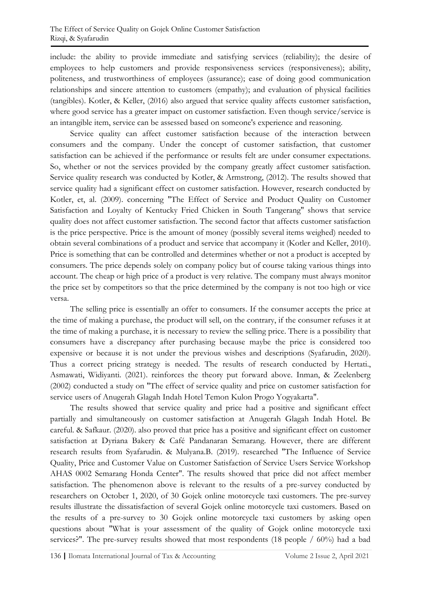include: the ability to provide immediate and satisfying services (reliability); the desire of employees to help customers and provide responsiveness services (responsiveness); ability, politeness, and trustworthiness of employees (assurance); ease of doing good communication relationships and sincere attention to customers (empathy); and evaluation of physical facilities (tangibles). Kotler, & Keller, (2016) also argued that service quality affects customer satisfaction, where good service has a greater impact on customer satisfaction. Even though service/service is an intangible item, service can be assessed based on someone's experience and reasoning.

Service quality can affect customer satisfaction because of the interaction between consumers and the company. Under the concept of customer satisfaction, that customer satisfaction can be achieved if the performance or results felt are under consumer expectations. So, whether or not the services provided by the company greatly affect customer satisfaction. Service quality research was conducted by Kotler, & Armstrong, (2012). The results showed that service quality had a significant effect on customer satisfaction. However, research conducted by Kotler, et, al. (2009). concerning "The Effect of Service and Product Quality on Customer Satisfaction and Loyalty of Kentucky Fried Chicken in South Tangerang" shows that service quality does not affect customer satisfaction. The second factor that affects customer satisfaction is the price perspective. Price is the amount of money (possibly several items weighed) needed to obtain several combinations of a product and service that accompany it (Kotler and Keller, 2010). Price is something that can be controlled and determines whether or not a product is accepted by consumers. The price depends solely on company policy but of course taking various things into account. The cheap or high price of a product is very relative. The company must always monitor the price set by competitors so that the price determined by the company is not too high or vice versa.

The selling price is essentially an offer to consumers. If the consumer accepts the price at the time of making a purchase, the product will sell, on the contrary, if the consumer refuses it at the time of making a purchase, it is necessary to review the selling price. There is a possibility that consumers have a discrepancy after purchasing because maybe the price is considered too expensive or because it is not under the previous wishes and descriptions (Syafarudin, 2020). Thus a correct pricing strategy is needed. The results of research conducted by Hertati., Asmawati, Widiyanti. (2021). reinforces the theory put forward above. Inman, & Zeelenberg (2002) conducted a study on "The effect of service quality and price on customer satisfaction for service users of Anugerah Glagah Indah Hotel Temon Kulon Progo Yogyakarta".

The results showed that service quality and price had a positive and significant effect partially and simultaneously on customer satisfaction at Anugerah Glagah Indah Hotel. Be careful. & Safkaur. (2020). also proved that price has a positive and significant effect on customer satisfaction at Dyriana Bakery & Café Pandanaran Semarang. However, there are different research results from Syafarudin. & Mulyana.B. (2019). researched "The Influence of Service Quality, Price and Customer Value on Customer Satisfaction of Service Users Service Workshop AHAS 0002 Semarang Honda Center". The results showed that price did not affect member satisfaction. The phenomenon above is relevant to the results of a pre-survey conducted by researchers on October 1, 2020, of 30 Gojek online motorcycle taxi customers. The pre-survey results illustrate the dissatisfaction of several Gojek online motorcycle taxi customers. Based on the results of a pre-survey to 30 Gojek online motorcycle taxi customers by asking open questions about "What is your assessment of the quality of Gojek online motorcycle taxi services?". The pre-survey results showed that most respondents (18 people / 60%) had a bad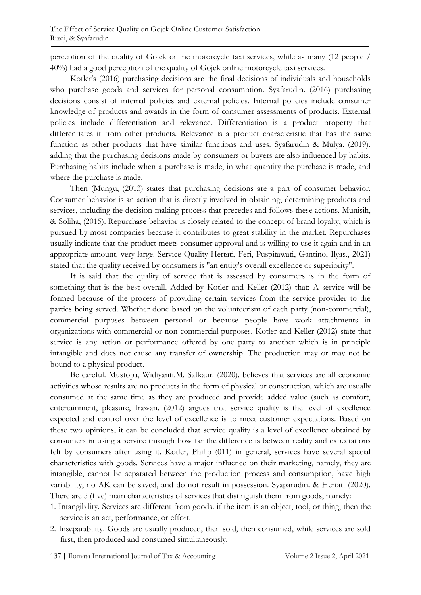perception of the quality of Gojek online motorcycle taxi services, while as many (12 people / 40%) had a good perception of the quality of Gojek online motorcycle taxi services.

Kotler's (2016) purchasing decisions are the final decisions of individuals and households who purchase goods and services for personal consumption. Syafarudin. (2016) purchasing decisions consist of internal policies and external policies. Internal policies include consumer knowledge of products and awards in the form of consumer assessments of products. External policies include differentiation and relevance. Differentiation is a product property that differentiates it from other products. Relevance is a product characteristic that has the same function as other products that have similar functions and uses. Syafarudin & Mulya. (2019). adding that the purchasing decisions made by consumers or buyers are also influenced by habits. Purchasing habits include when a purchase is made, in what quantity the purchase is made, and where the purchase is made.

Then (Mungu, (2013) states that purchasing decisions are a part of consumer behavior. Consumer behavior is an action that is directly involved in obtaining, determining products and services, including the decision-making process that precedes and follows these actions. Munisih, & Soliha, (2015). Repurchase behavior is closely related to the concept of brand loyalty, which is pursued by most companies because it contributes to great stability in the market. Repurchases usually indicate that the product meets consumer approval and is willing to use it again and in an appropriate amount. very large. Service Quality Hertati, Feri, Puspitawati, Gantino, Ilyas., 2021) stated that the quality received by consumers is "an entity's overall excellence or superiority".

It is said that the quality of service that is assessed by consumers is in the form of something that is the best overall. Added by Kotler and Keller (2012) that: A service will be formed because of the process of providing certain services from the service provider to the parties being served. Whether done based on the volunteerism of each party (non-commercial), commercial purposes between personal or because people have work attachments in organizations with commercial or non-commercial purposes. Kotler and Keller (2012) state that service is any action or performance offered by one party to another which is in principle intangible and does not cause any transfer of ownership. The production may or may not be bound to a physical product.

Be careful. Mustopa, Widiyanti.M. Safkaur. (2020). believes that services are all economic activities whose results are no products in the form of physical or construction, which are usually consumed at the same time as they are produced and provide added value (such as comfort, entertainment, pleasure, Irawan. (2012) argues that service quality is the level of excellence expected and control over the level of excellence is to meet customer expectations. Based on these two opinions, it can be concluded that service quality is a level of excellence obtained by consumers in using a service through how far the difference is between reality and expectations felt by consumers after using it. Kotler, Philip (011) in general, services have several special characteristics with goods. Services have a major influence on their marketing, namely, they are intangible, cannot be separated between the production process and consumption, have high variability, no AK can be saved, and do not result in possession. Syaparudin. & Hertati (2020). There are 5 (five) main characteristics of services that distinguish them from goods, namely:

- 1. Intangibility. Services are different from goods. if the item is an object, tool, or thing, then the service is an act, performance, or effort.
- 2. Inseparability. Goods are usually produced, then sold, then consumed, while services are sold first, then produced and consumed simultaneously.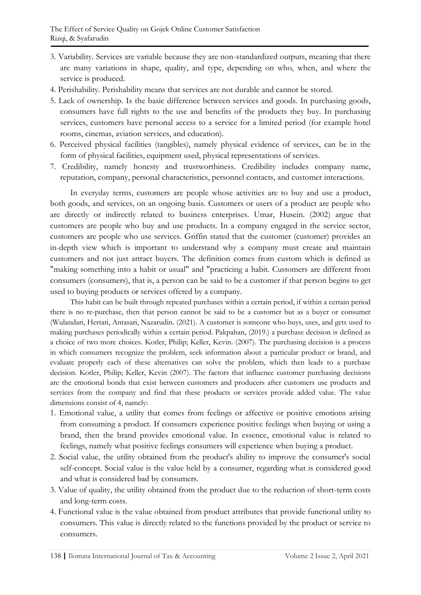- 3. Variability. Services are variable because they are non-standardized outputs, meaning that there are many variations in shape, quality, and type, depending on who, when, and where the service is produced.
- 4. Perishability. Perishability means that services are not durable and cannot be stored.
- 5. Lack of ownership. Is the basic difference between services and goods. In purchasing goods, consumers have full rights to the use and benefits of the products they buy. In purchasing services, customers have personal access to a service for a limited period (for example hotel rooms, cinemas, aviation services, and education).
- 6. Perceived physical facilities (tangibles), namely physical evidence of services, can be in the form of physical facilities, equipment used, physical representations of services.
- 7. Credibility, namely honesty and trustworthiness. Credibility includes company name, reputation, company, personal characteristics, personnel contacts, and customer interactions.

In everyday terms, customers are people whose activities are to buy and use a product, both goods, and services, on an ongoing basis. Customers or users of a product are people who are directly or indirectly related to business enterprises. Umar, Husein. (2002) argue that customers are people who buy and use products. In a company engaged in the service sector, customers are people who use services. Griffin stated that the customer (customer) provides an in-depth view which is important to understand why a company must create and maintain customers and not just attract buyers. The definition comes from custom which is defined as "making something into a habit or usual" and "practicing a habit. Customers are different from consumers (consumers), that is, a person can be said to be a customer if that person begins to get used to buying products or services offered by a company.

This habit can be built through repeated purchases within a certain period, if within a certain period there is no re-purchase, then that person cannot be said to be a customer but as a buyer or consumer (Wulandari, Hertati, Antasari, Nazarudin. (2021). A customer is someone who buys, uses, and gets used to making purchases periodically within a certain period. Pakpahan, (2019.) a purchase decision is defined as a choice of two more choices. Kotler, Philip; Keller, Kevin. (2007). The purchasing decision is a process in which consumers recognize the problem, seek information about a particular product or brand, and evaluate properly each of these alternatives can solve the problem, which then leads to a purchase decision. Kotler, Philip; Keller, Kevin (2007). The factors that influence customer purchasing decisions are the emotional bonds that exist between customers and producers after customers use products and services from the company and find that these products or services provide added value. The value dimensions consist of 4, namely:

- 1. Emotional value, a utility that comes from feelings or affective or positive emotions arising from consuming a product. If consumers experience positive feelings when buying or using a brand, then the brand provides emotional value. In essence, emotional value is related to feelings, namely what positive feelings consumers will experience when buying a product.
- 2. Social value, the utility obtained from the product's ability to improve the consumer's social self-concept. Social value is the value held by a consumer, regarding what is considered good and what is considered bad by consumers.
- 3. Value of quality, the utility obtained from the product due to the reduction of short-term costs and long-term costs.
- 4. Functional value is the value obtained from product attributes that provide functional utility to consumers. This value is directly related to the functions provided by the product or service to consumers.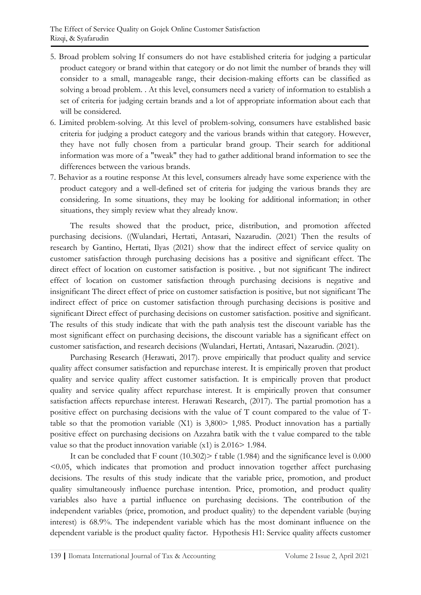- 5. Broad problem solving If consumers do not have established criteria for judging a particular product category or brand within that category or do not limit the number of brands they will consider to a small, manageable range, their decision-making efforts can be classified as solving a broad problem. . At this level, consumers need a variety of information to establish a set of criteria for judging certain brands and a lot of appropriate information about each that will be considered.
- 6. Limited problem-solving. At this level of problem-solving, consumers have established basic criteria for judging a product category and the various brands within that category. However, they have not fully chosen from a particular brand group. Their search for additional information was more of a "tweak" they had to gather additional brand information to see the differences between the various brands.
- 7. Behavior as a routine response At this level, consumers already have some experience with the product category and a well-defined set of criteria for judging the various brands they are considering. In some situations, they may be looking for additional information; in other situations, they simply review what they already know.

The results showed that the product, price, distribution, and promotion affected purchasing decisions. ((Wulandari, Hertati, Antasari, Nazarudin. (2021) Then the results of research by Gantino, Hertati, Ilyas (2021) show that the indirect effect of service quality on customer satisfaction through purchasing decisions has a positive and significant effect. The direct effect of location on customer satisfaction is positive. , but not significant The indirect effect of location on customer satisfaction through purchasing decisions is negative and insignificant The direct effect of price on customer satisfaction is positive, but not significant The indirect effect of price on customer satisfaction through purchasing decisions is positive and significant Direct effect of purchasing decisions on customer satisfaction. positive and significant. The results of this study indicate that with the path analysis test the discount variable has the most significant effect on purchasing decisions, the discount variable has a significant effect on customer satisfaction, and research decisions (Wulandari, Hertati, Antasari, Nazarudin. (2021).

Purchasing Research (Herawati, 2017). prove empirically that product quality and service quality affect consumer satisfaction and repurchase interest. It is empirically proven that product quality and service quality affect customer satisfaction. It is empirically proven that product quality and service quality affect repurchase interest. It is empirically proven that consumer satisfaction affects repurchase interest. Herawati Research, (2017). The partial promotion has a positive effect on purchasing decisions with the value of T count compared to the value of Ttable so that the promotion variable  $(X1)$  is 3,800 $> 1,985$ . Product innovation has a partially positive effect on purchasing decisions on Azzahra batik with the t value compared to the table value so that the product innovation variable (x1) is 2.016> 1.984.

It can be concluded that  $F$  count (10.302)  $>$  f table (1.984) and the significance level is 0.000 <0.05, which indicates that promotion and product innovation together affect purchasing decisions. The results of this study indicate that the variable price, promotion, and product quality simultaneously influence purchase intention. Price, promotion, and product quality variables also have a partial influence on purchasing decisions. The contribution of the independent variables (price, promotion, and product quality) to the dependent variable (buying interest) is 68.9%. The independent variable which has the most dominant influence on the dependent variable is the product quality factor. Hypothesis H1: Service quality affects customer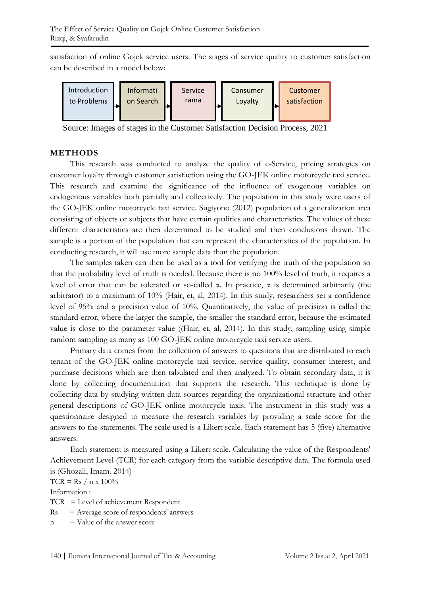satisfaction of online Gojek service users. The stages of service quality to customer satisfaction can be described in a model below:



Source: Images of stages in the Customer Satisfaction Decision Process, 2021

#### **METHODS**

This research was conducted to analyze the quality of e-Service, pricing strategies on customer loyalty through customer satisfaction using the GO-JEK online motorcycle taxi service. This research and examine the significance of the influence of exogenous variables on endogenous variables both partially and collectively. The population in this study were users of the GO-JEK online motorcycle taxi service. Sugiyono (2012) population of a generalization area consisting of objects or subjects that have certain qualities and characteristics. The values of these different characteristics are then determined to be studied and then conclusions drawn. The sample is a portion of the population that can represent the characteristics of the population. In conducting research, it will use more sample data than the population.

The samples taken can then be used as a tool for verifying the truth of the population so that the probability level of truth is needed. Because there is no 100% level of truth, it requires a level of error that can be tolerated or so-called α. In practice, α is determined arbitrarily (the arbitrator) to a maximum of 10% (Hair, et, al, 2014). In this study, researchers set a confidence level of 95% and a precision value of 10%. Quantitatively, the value of precision is called the standard error, where the larger the sample, the smaller the standard error, because the estimated value is close to the parameter value ((Hair, et, al, 2014). In this study, sampling using simple random sampling as many as 100 GO-JEK online motorcycle taxi service users.

Primary data comes from the collection of answers to questions that are distributed to each tenant of the GO-JEK online motorcycle taxi service, service quality, consumer interest, and purchase decisions which are then tabulated and then analyzed. To obtain secondary data, it is done by collecting documentation that supports the research. This technique is done by collecting data by studying written data sources regarding the organizational structure and other general descriptions of GO-JEK online motorcycle taxis. The instrument in this study was a questionnaire designed to measure the research variables by providing a scale score for the answers to the statements. The scale used is a Likert scale. Each statement has 5 (five) alternative answers.

Each statement is measured using a Likert scale. Calculating the value of the Respondents' Achievement Level (TCR) for each category from the variable descriptive data. The formula used is (Ghozali, Imam. 2014)

 $TCR = Rs / n x 100\%$ 

Information :

TCR = Level of achievement Respondent

- $Rs = Average score of respondents' answers$
- $n =$  Value of the answer score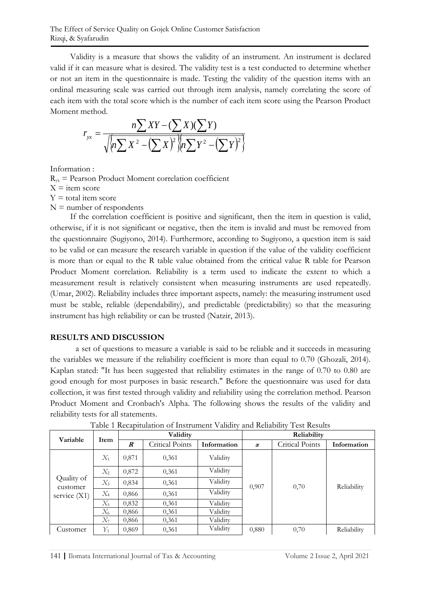Validity is a measure that shows the validity of an instrument. An instrument is declared valid if it can measure what is desired. The validity test is a test conducted to determine whether or not an item in the questionnaire is made. Testing the validity of the question items with an ordinal measuring scale was carried out through item analysis, namely correlating the score of each item with the total score which is the number of each item score using the Pearson Product Moment method.

$$
r_{yx} = \frac{n\sum XY - (\sum X)(\sum Y)}{\sqrt{\left(n\sum X^2 - (\sum X)^2\right)\left(n\sum Y^2 - (\sum Y)^2\right)}}
$$

Information :

 $R_{vx}$  = Pearson Product Moment correlation coefficient  $X =$ item score  $Y =$  total item score  $N =$  number of respondents

If the correlation coefficient is positive and significant, then the item in question is valid, otherwise, if it is not significant or negative, then the item is invalid and must be removed from the questionnaire (Sugiyono, 2014). Furthermore, according to Sugiyono, a question item is said to be valid or can measure the research variable in question if the value of the validity coefficient is more than or equal to the R table value obtained from the critical value R table for Pearson Product Moment correlation. Reliability is a term used to indicate the extent to which a measurement result is relatively consistent when measuring instruments are used repeatedly. (Umar, 2002). Reliability includes three important aspects, namely: the measuring instrument used must be stable, reliable (dependability), and predictable (predictability) so that the measuring instrument has high reliability or can be trusted (Natzir, 2013).

## **RESULTS AND DISCUSSION**

a set of questions to measure a variable is said to be reliable and it succeeds in measuring the variables we measure if the reliability coefficient is more than equal to 0.70 (Ghozali, 2014). Kaplan stated: "It has been suggested that reliability estimates in the range of 0.70 to 0.80 are good enough for most purposes in basic research." Before the questionnaire was used for data collection, it was first tested through validity and reliability using the correlation method. Pearson Product Moment and Cronbach's Alpha. The following shows the results of the validity and reliability tests for all statements.

|                                          |       | Validity         |                 |             | Reliability |                 |             |
|------------------------------------------|-------|------------------|-----------------|-------------|-------------|-----------------|-------------|
| Variable                                 | Item  | $\boldsymbol{R}$ | Critical Points | Information | $\alpha$    | Critical Points | Information |
| Quality of<br>customer<br>service $(X1)$ | $X_1$ | 0,871            | 0,361           | Validity    |             | 0,70            |             |
|                                          | $X_2$ | 0,872            | 0,361           | Validity    |             |                 | Reliability |
|                                          | $X_3$ | 0,834            | 0,361           | Validity    | 0,907       |                 |             |
|                                          | $X_4$ | 0,866            | 0,361           | Validity    |             |                 |             |
|                                          | $X_5$ | 0,832            | 0.361           | Validity    |             |                 |             |
|                                          | $X_6$ | 0,866            | 0,361           | Validity    |             |                 |             |
|                                          | $X_7$ | 0,866            | 0,361           | Validity    |             |                 |             |
| Customer                                 | $Y_1$ | 0,869            | 0,361           | Validity    | 0,880       | 0,70            | Reliability |

Table 1 Recapitulation of Instrument Validity and Reliability Test Results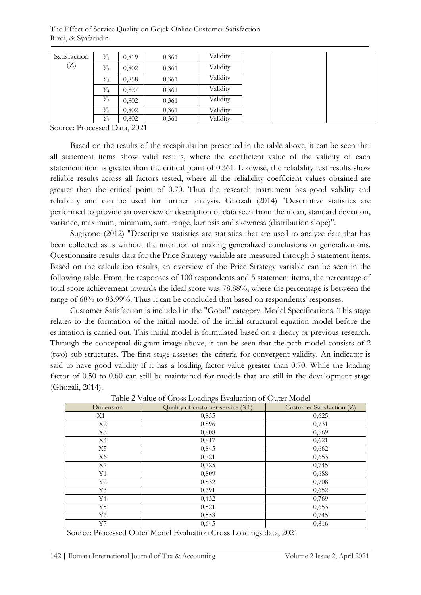The Effect of Service Quality on Gojek Online Customer Satisfaction Rizqi, & Syafarudin

| Satisfaction | $Y_1$ | 0.819 | 0,361 | Validity |  |  |
|--------------|-------|-------|-------|----------|--|--|
| (Z)          | $Y_2$ | 0,802 | 0,361 | Validity |  |  |
|              | $Y_3$ | 0,858 | 0,361 | Validity |  |  |
|              | $Y_4$ | 0,827 | 0,361 | Validity |  |  |
|              | $Y_5$ | 0,802 | 0,361 | Validity |  |  |
|              | $Y_6$ | 0,802 | 0,361 | Validity |  |  |
|              | Y7    | 0,802 | 0,361 | Validity |  |  |

Source: Processed Data, 2021

Based on the results of the recapitulation presented in the table above, it can be seen that all statement items show valid results, where the coefficient value of the validity of each statement item is greater than the critical point of 0.361. Likewise, the reliability test results show reliable results across all factors tested, where all the reliability coefficient values obtained are greater than the critical point of 0.70. Thus the research instrument has good validity and reliability and can be used for further analysis. Ghozali (2014) "Descriptive statistics are performed to provide an overview or description of data seen from the mean, standard deviation, variance, maximum, minimum, sum, range, kurtosis and skewness (distribution slope)".

Sugiyono (2012) "Descriptive statistics are statistics that are used to analyze data that has been collected as is without the intention of making generalized conclusions or generalizations. Questionnaire results data for the Price Strategy variable are measured through 5 statement items. Based on the calculation results, an overview of the Price Strategy variable can be seen in the following table. From the responses of 100 respondents and 5 statement items, the percentage of total score achievement towards the ideal score was 78.88%, where the percentage is between the range of 68% to 83.99%. Thus it can be concluded that based on respondents' responses.

Customer Satisfaction is included in the "Good" category. Model Specifications. This stage relates to the formation of the initial model of the initial structural equation model before the estimation is carried out. This initial model is formulated based on a theory or previous research. Through the conceptual diagram image above, it can be seen that the path model consists of 2 (two) sub-structures. The first stage assesses the criteria for convergent validity. An indicator is said to have good validity if it has a loading factor value greater than 0.70. While the loading factor of 0.50 to 0.60 can still be maintained for models that are still in the development stage (Ghozali, 2014).

| Dimension | Quality of customer service (X1) | Customer Satisfaction (Z) |
|-----------|----------------------------------|---------------------------|
| X1        | 0,855                            | 0,625                     |
| X2        | 0,896                            | 0,731                     |
| X3        | 0,808                            | 0,569                     |
| X4        | 0,817                            | 0,621                     |
| X5        | 0,845                            | 0,662                     |
| X6        | 0,721                            | 0,653                     |
| X7        | 0,725                            | 0,745                     |
| Y1        | 0,809                            | 0,688                     |
| Y2        | 0,832                            | 0,708                     |
| Y3        | 0,691                            | 0,652                     |
| Y4        | 0,432                            | 0,769                     |
| Y5        | 0,521                            | 0,653                     |
| Y6        | 0,558                            | 0,745                     |
| Y7        | 0,645                            | 0,816                     |

Table 2 Value of Cross Loadings Evaluation of Outer Model

Source: Processed Outer Model Evaluation Cross Loadings data, 2021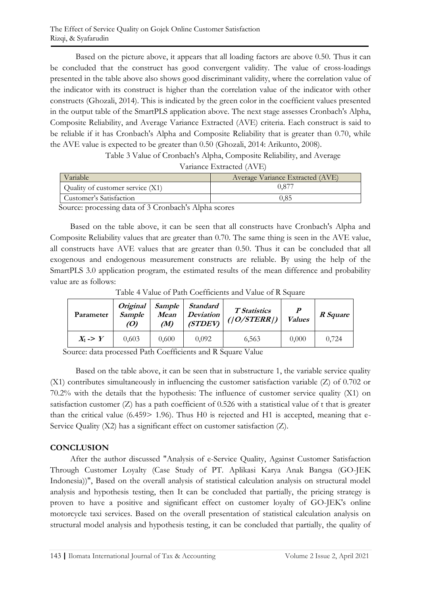Based on the picture above, it appears that all loading factors are above 0.50. Thus it can be concluded that the construct has good convergent validity. The value of cross-loadings presented in the table above also shows good discriminant validity, where the correlation value of the indicator with its construct is higher than the correlation value of the indicator with other constructs (Ghozali, 2014). This is indicated by the green color in the coefficient values presented in the output table of the SmartPLS application above. The next stage assesses Cronbach's Alpha, Composite Reliability, and Average Variance Extracted (AVE) criteria. Each construct is said to be reliable if it has Cronbach's Alpha and Composite Reliability that is greater than 0.70, while the AVE value is expected to be greater than 0.50 (Ghozali, 2014: Arikunto, 2008).

Table 3 Value of Cronbach's Alpha, Composite Reliability, and Average

|  | Variance Extracted (AVE) |  |
|--|--------------------------|--|
|--|--------------------------|--|

| Variable                         | Average Variance Extracted (AVE) |
|----------------------------------|----------------------------------|
| Quality of customer service (X1) | 1.877                            |
| Customer's Satisfaction          |                                  |
| .<br>$\sim$                      |                                  |

Source: processing data of 3 Cronbach's Alpha scores

Based on the table above, it can be seen that all constructs have Cronbach's Alpha and Composite Reliability values that are greater than 0.70. The same thing is seen in the AVE value, all constructs have AVE values that are greater than 0.50. Thus it can be concluded that all exogenous and endogenous measurement constructs are reliable. By using the help of the SmartPLS 3.0 application program, the estimated results of the mean difference and probability value are as follows:

| Parameter           | <i><b>Original</b></i><br>Sample<br>(O) | Sample<br>Mean<br>(M) | Standard<br><b>Deviation</b><br>(TDEF) | <b>T</b> Statistics<br>$($   O/STERR $)$ | $\boldsymbol{P}$<br><b>Values</b> | R Square |
|---------------------|-----------------------------------------|-----------------------|----------------------------------------|------------------------------------------|-----------------------------------|----------|
| $X_1 \rightarrow Y$ | 0.603                                   | 0,600                 | 0,092                                  | 6,563                                    | 0,000                             | 0,724    |

Table 4 Value of Path Coefficients and Value of R Square

Source: data processed Path Coefficients and R Square Value

Based on the table above, it can be seen that in substructure 1, the variable service quality (X1) contributes simultaneously in influencing the customer satisfaction variable (Z) of 0.702 or 70.2% with the details that the hypothesis: The influence of customer service quality (X1) on satisfaction customer (Z) has a path coefficient of 0.526 with a statistical value of t that is greater than the critical value (6.459> 1.96). Thus H0 is rejected and H1 is accepted, meaning that e-Service Quality (X2) has a significant effect on customer satisfaction (Z).

## **CONCLUSION**

After the author discussed "Analysis of e-Service Quality, Against Customer Satisfaction Through Customer Loyalty (Case Study of PT. Aplikasi Karya Anak Bangsa (GO-JEK Indonesia))", Based on the overall analysis of statistical calculation analysis on structural model analysis and hypothesis testing, then It can be concluded that partially, the pricing strategy is proven to have a positive and significant effect on customer loyalty of GO-JEK's online motorcycle taxi services. Based on the overall presentation of statistical calculation analysis on structural model analysis and hypothesis testing, it can be concluded that partially, the quality of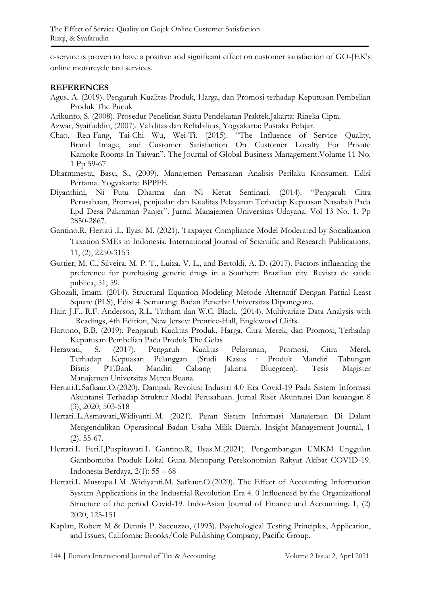e-service is proven to have a positive and significant effect on customer satisfaction of GO-JEK's online motorcycle taxi services.

#### **REFERENCES**

- Agus, A. (2019). Pengaruh Kualitas Produk, Harga, dan Promosi terhadap Keputusan Pembelian Produk The Pucuk
- Arikunto, S. (2008). Prosedur Penelitian Suatu Pendekatan Praktek.Jakarta: Rineka Cipta.

Azwar, Syaifuddin, (2007). Validitas dan Reliabilitas, Yogyakarta: Pustaka Pelajar.

- Chao, Ren-Fang, Tai-Chi Wu, Wei-Ti. (2015). "The Influence of Service Quality, Brand Image, and Customer Satisfaction On Customer Loyalty For Private Karaoke Rooms In Taiwan". The Journal of Global Business Management.Volume 11 No. 1 Pp 59-67
- Dharmmesta, Basu, S., (2009). Manajemen Pemasaran Analisis Perilaku Konsumen. Edisi Pertama. Yogyakarta: BPPFE
- Diyanthini, Ni Putu Dharma dan Ni Ketut Seminari. (2014). "Pengaruh Citra Perusahaan, Promosi, penjualan dan Kualitas Pelayanan Terhadap Kepuasan Nasabah Pada Lpd Desa Pakraman Panjer". Jurnal Manajemen Universitas Udayana. Vol 13 No. 1. Pp 2850-2867.
- Gantino.R, Hertati .L. Ilyas. M. (2021). Taxpayer Compliance Model Moderated by Socialization Taxation SMEs in Indonesia. International Journal of Scientific and Research Publications, 11, (2), 2250-3153
- Guttier, M. C., Silveira, M. P. T., Luiza, V. L., and Bertoldi, A. D. (2017). Factors influencing the preference for purchasing generic drugs in a Southern Brazilian city. Revista de saude publica, 51, 59.
- Ghozali, Imam. (2014). Structural Equation Modeling Metode Alternatif Dengan Partial Least Square (PLS), Edisi 4. Semarang: Badan Penerbit Universitas Diponegoro.
- Hair, J.F., R.F. Anderson, R.L. Tatham dan W.C. Black. (2014). Multivariate Data Analysis with Readings, 4th Edition, New Jersey: Prentice-Hall, Englewood Cliffs.
- Hartono, B.B. (2019). Pengaruh Kualitas Produk, Harga, Citra Merek, dan Promosi, Terhadap Keputusan Pembelian Pada Produk The Gelas
- Herawati, S. (2017). Pengaruh Kualitas Pelayanan, Promosi, Citra Merek Terhadap Kepuasan Pelanggan (Studi Kasus : Produk Mandiri Tabungan Bisnis PT.Bank Mandiri Cabang Jakarta Bluegreen). Tesis Magister Manajemen Universitas Mercu Buana.
- Hertati.L.Safkaur.O.(2020). Dampak Revolusi Industri 4.0 Era Covid-19 Pada Sistem Informasi Akuntansi Terhadap Struktur Modal Perusahaan. Jurnal Riset Akuntansi Dan keuangan 8 (3), 2020, 503-518
- Hertati..L.Asmawati,,Widiyanti..M. (2021). Peran Sistem Informasi Manajemen Di Dalam Mengendalikan Operasional Badan Usaha Milik Daerah. Insight Management Journal, 1 (2). 55-67.
- Hertati.L Feri.I,Puspitawati.L Gantino.R, Ilyas.M.(2021). Pengembangan UMKM Unggulan Gambomuba Produk Lokal Guna Menopang Perekonomian Rakyat Akibat COVID-19. Indonesia Berdaya, 2(1): 55 – 68
- Hertati.L Mustopa.I.M .Widiyanti.M. Safkaur.O.(2020). The Effect of Accounting Information System Applications in the Industrial Revolution Era 4. 0 Influenced by the Organizational Structure of the period Covid-19. Indo-Asian Journal of Finance and Accounting. 1, (2) 2020, 125-151
- Kaplan, Robert M & Dennis P. Saccuzzo, (1993). Psychological Testing Principles, Application, and Issues, California: Brooks/Cole Publishing Company, Pacific Group.